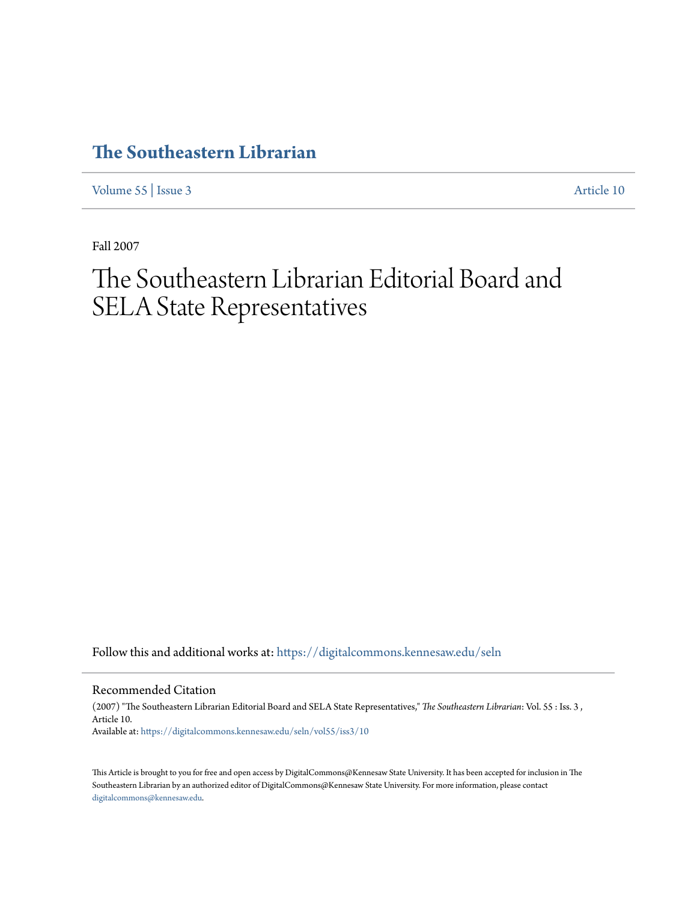## **[The Southeastern Librarian](https://digitalcommons.kennesaw.edu/seln?utm_source=digitalcommons.kennesaw.edu%2Fseln%2Fvol55%2Fiss3%2F10&utm_medium=PDF&utm_campaign=PDFCoverPages)**

[Volume 55](https://digitalcommons.kennesaw.edu/seln/vol55?utm_source=digitalcommons.kennesaw.edu%2Fseln%2Fvol55%2Fiss3%2F10&utm_medium=PDF&utm_campaign=PDFCoverPages) | [Issue 3](https://digitalcommons.kennesaw.edu/seln/vol55/iss3?utm_source=digitalcommons.kennesaw.edu%2Fseln%2Fvol55%2Fiss3%2F10&utm_medium=PDF&utm_campaign=PDFCoverPages) [Article 10](https://digitalcommons.kennesaw.edu/seln/vol55/iss3/10?utm_source=digitalcommons.kennesaw.edu%2Fseln%2Fvol55%2Fiss3%2F10&utm_medium=PDF&utm_campaign=PDFCoverPages)

Fall 2007

## The Southeastern Librarian Editorial Board and SELA State Representatives

Follow this and additional works at: [https://digitalcommons.kennesaw.edu/seln](https://digitalcommons.kennesaw.edu/seln?utm_source=digitalcommons.kennesaw.edu%2Fseln%2Fvol55%2Fiss3%2F10&utm_medium=PDF&utm_campaign=PDFCoverPages)

Recommended Citation

(2007) "The Southeastern Librarian Editorial Board and SELA State Representatives," *The Southeastern Librarian*: Vol. 55 : Iss. 3 , Article 10. Available at: [https://digitalcommons.kennesaw.edu/seln/vol55/iss3/10](https://digitalcommons.kennesaw.edu/seln/vol55/iss3/10?utm_source=digitalcommons.kennesaw.edu%2Fseln%2Fvol55%2Fiss3%2F10&utm_medium=PDF&utm_campaign=PDFCoverPages)

This Article is brought to you for free and open access by DigitalCommons@Kennesaw State University. It has been accepted for inclusion in The Southeastern Librarian by an authorized editor of DigitalCommons@Kennesaw State University. For more information, please contact [digitalcommons@kennesaw.edu.](mailto:digitalcommons@kennesaw.edu)